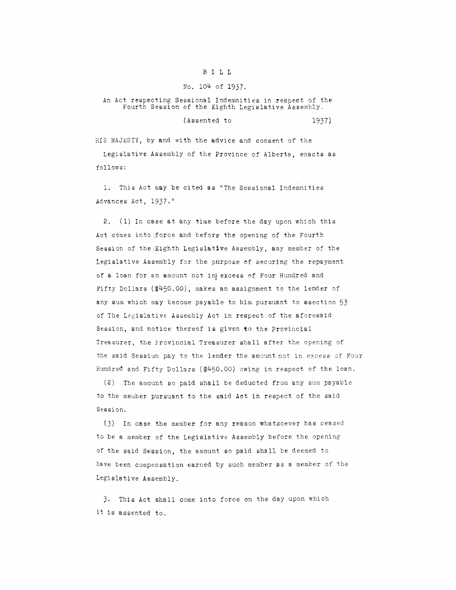## B ILL

## No. 104 of 1937.

## An Act respecting Sessional Indemnities in respect of the Fourth Session of the Eighth Legislative Assembly.

$$
(Assented to 1937)
$$

HIS MAJESTY, by and with the advice and consent of the

Legislative Assembly of the Province of Alberta, enacts as follows:

1. This Act may be cited as "The Sessional Indemnities Advances Act, 1937."

**2.** (1) In case at any time before the day upon which this Act comes into force and before the opening of the Fourth Session of the Eighth Legislative Assembly, any member of the Legislative Assembly for the purpose of securing the repayment of a loan for an amount not in excess of Four Hundred and Fifty Dollars (\$450.00), makes an assignment to the lender of any sum which may become payable to him pursuant to ssection 53 of The Legislative Assembly Act in respect of the aforesaid Session, and notice thereof **is** given to the Provincial Treasurer, the Frovincial Treasurer shall after the opening of the said Session pay to the lender the amount not in excess of Four Hundred and Fifty Dollars (\$450.00) owing in respect of the loan.

(2) The amount so paid shall be deducted from any sum payable to the member pursuant to the said **Act** in respect of the said Session.

(3) In case the member for any reason whatsoever has ceased to be a member of the Legislative Assembly before the opening of the said Session, the amount so paid shall be deemed to have been compensation earned by such member as a member of the Legislative Assembly.

**3.** This Act shall come into force on the day upon which it is assented to.